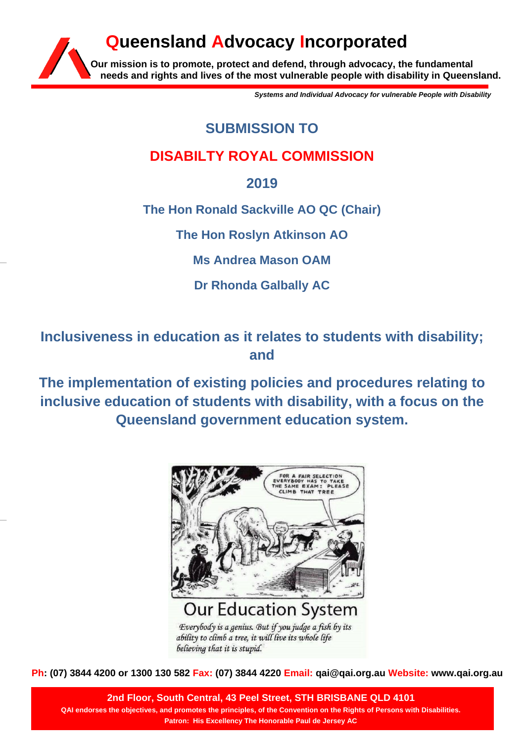# **Our mission is to promote, protect and defend, through advocacy, the fundamental needs and rights and lives of the most vulnerable people with disability in Queensland. Queensland Advocacy Incorporated**

*Systems and Individual Advocacy for vulnerable People with Disability*

# **SUBMISSION TO**

# **DISABILTY ROYAL COMMISSION**

**2019**

**The Hon Ronald Sackville AO QC (Chair)**

**The Hon Roslyn Atkinson AO**

**Ms Andrea Mason OAM**

**Dr Rhonda Galbally AC**

**Inclusiveness in education as it relates to students with disability; and**

**The implementation of existing policies and procedures relating to inclusive education of students with disability, with a focus on the Queensland government education system.**



## **Our Education System** Everybody is a genius. But if you judge a fish by its ability to climb a tree, it will live its whole life

believing that it is stupid.

**Ph: (07) 3844 4200 or 1300 130 582 Fax: (07) 3844 4220 Email: qai@qai.org.au Website: www.qai.org.au**

**2nd Floor, South Central, 43 Peel Street, STH BRISBANE QLD 4101 QAI endorses the objectives, and promotes the principles, of the Convention on the Rights of Persons with Disabilities. Patron: His Excellency The Honorable Paul de Jersey AC**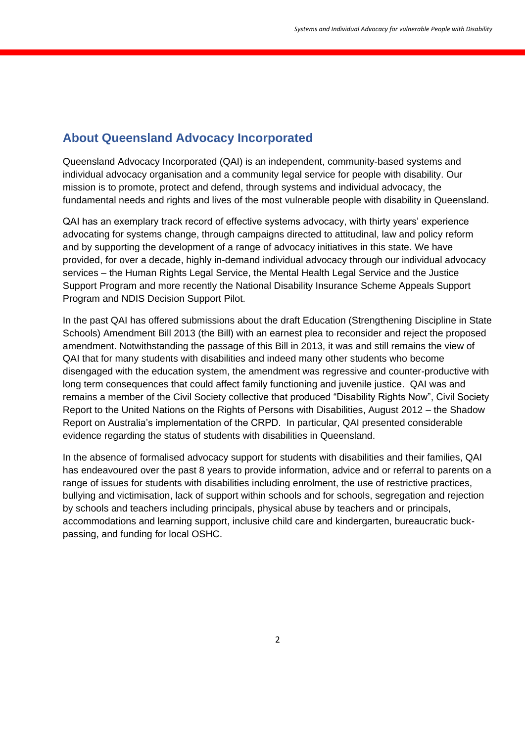### **About Queensland Advocacy Incorporated**

Queensland Advocacy Incorporated (QAI) is an independent, community-based systems and individual advocacy organisation and a community legal service for people with disability. Our mission is to promote, protect and defend, through systems and individual advocacy, the fundamental needs and rights and lives of the most vulnerable people with disability in Queensland.

QAI has an exemplary track record of effective systems advocacy, with thirty years' experience advocating for systems change, through campaigns directed to attitudinal, law and policy reform and by supporting the development of a range of advocacy initiatives in this state. We have provided, for over a decade, highly in-demand individual advocacy through our individual advocacy services – the Human Rights Legal Service, the Mental Health Legal Service and the Justice Support Program and more recently the National Disability Insurance Scheme Appeals Support Program and NDIS Decision Support Pilot.

In the past QAI has offered submissions about the draft Education (Strengthening Discipline in State Schools) Amendment Bill 2013 (the Bill) with an earnest plea to reconsider and reject the proposed amendment. Notwithstanding the passage of this Bill in 2013, it was and still remains the view of QAI that for many students with disabilities and indeed many other students who become disengaged with the education system, the amendment was regressive and counter-productive with long term consequences that could affect family functioning and juvenile justice. QAI was and remains a member of the Civil Society collective that produced "Disability Rights Now", Civil Society Report to the United Nations on the Rights of Persons with Disabilities, August 2012 – the Shadow Report on Australia's implementation of the CRPD. In particular, QAI presented considerable evidence regarding the status of students with disabilities in Queensland.

In the absence of formalised advocacy support for students with disabilities and their families, QAI has endeavoured over the past 8 years to provide information, advice and or referral to parents on a range of issues for students with disabilities including enrolment, the use of restrictive practices, bullying and victimisation, lack of support within schools and for schools, segregation and rejection by schools and teachers including principals, physical abuse by teachers and or principals, accommodations and learning support, inclusive child care and kindergarten, bureaucratic buckpassing, and funding for local OSHC.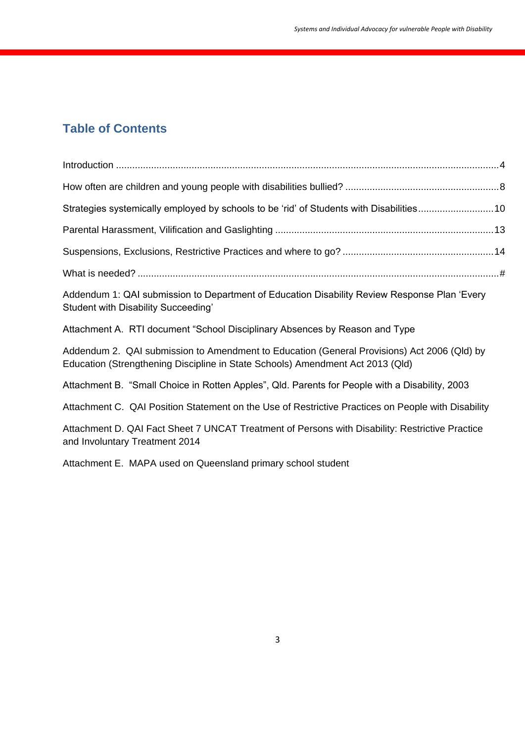# **Table of Contents**

| Strategies systemically employed by schools to be 'rid' of Students with Disabilities10                                                                                       |  |
|-------------------------------------------------------------------------------------------------------------------------------------------------------------------------------|--|
|                                                                                                                                                                               |  |
|                                                                                                                                                                               |  |
|                                                                                                                                                                               |  |
| Addendum 1: QAI submission to Department of Education Disability Review Response Plan 'Every<br>Student with Disability Succeeding'                                           |  |
| Attachment A. RTI document "School Disciplinary Absences by Reason and Type                                                                                                   |  |
| Addendum 2. QAI submission to Amendment to Education (General Provisions) Act 2006 (Qld) by<br>Education (Strengthening Discipline in State Schools) Amendment Act 2013 (Qld) |  |
| Attachment B. "Small Choice in Rotten Apples", Qld. Parents for People with a Disability, 2003                                                                                |  |
| Attachment C. QAI Position Statement on the Use of Restrictive Practices on People with Disability                                                                            |  |
| Attachment D. QAI Fact Sheet 7 UNCAT Treatment of Persons with Disability: Restrictive Practice<br>and Involuntary Treatment 2014                                             |  |
| Attachment E. MAPA used on Queensland primary school student                                                                                                                  |  |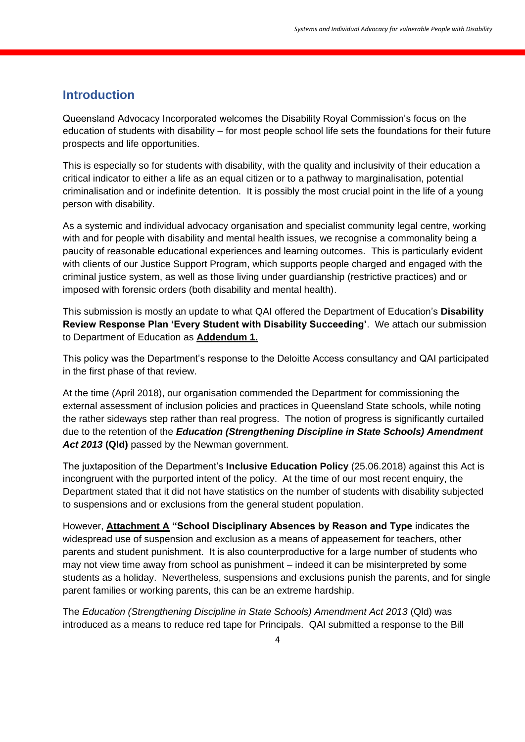### **Introduction**

Queensland Advocacy Incorporated welcomes the Disability Royal Commission's focus on the education of students with disability – for most people school life sets the foundations for their future prospects and life opportunities.

This is especially so for students with disability, with the quality and inclusivity of their education a critical indicator to either a life as an equal citizen or to a pathway to marginalisation, potential criminalisation and or indefinite detention. It is possibly the most crucial point in the life of a young person with disability.

As a systemic and individual advocacy organisation and specialist community legal centre, working with and for people with disability and mental health issues, we recognise a commonality being a paucity of reasonable educational experiences and learning outcomes. This is particularly evident with clients of our Justice Support Program, which supports people charged and engaged with the criminal justice system, as well as those living under guardianship (restrictive practices) and or imposed with forensic orders (both disability and mental health).

This submission is mostly an update to what QAI offered the Department of Education's **Disability Review Response Plan 'Every Student with Disability Succeeding'**. We attach our submission to Department of Education as **Addendum 1.**

This policy was the Department's response to the Deloitte Access consultancy and QAI participated in the first phase of that review.

At the time (April 2018), our organisation commended the Department for commissioning the external assessment of inclusion policies and practices in Queensland State schools, while noting the rather sideways step rather than real progress. The notion of progress is significantly curtailed due to the retention of the *Education (Strengthening Discipline in State Schools) Amendment Act 2013* **(Qld)** passed by the Newman government.

The juxtaposition of the Department's **Inclusive Education Policy** (25.06.2018) against this Act is incongruent with the purported intent of the policy. At the time of our most recent enquiry, the Department stated that it did not have statistics on the number of students with disability subjected to suspensions and or exclusions from the general student population.

However, **Attachment A "School Disciplinary Absences by Reason and Type** indicates the widespread use of suspension and exclusion as a means of appeasement for teachers, other parents and student punishment. It is also counterproductive for a large number of students who may not view time away from school as punishment – indeed it can be misinterpreted by some students as a holiday. Nevertheless, suspensions and exclusions punish the parents, and for single parent families or working parents, this can be an extreme hardship.

The *Education (Strengthening Discipline in State Schools) Amendment Act 2013* (Qld) was introduced as a means to reduce red tape for Principals. QAI submitted a response to the Bill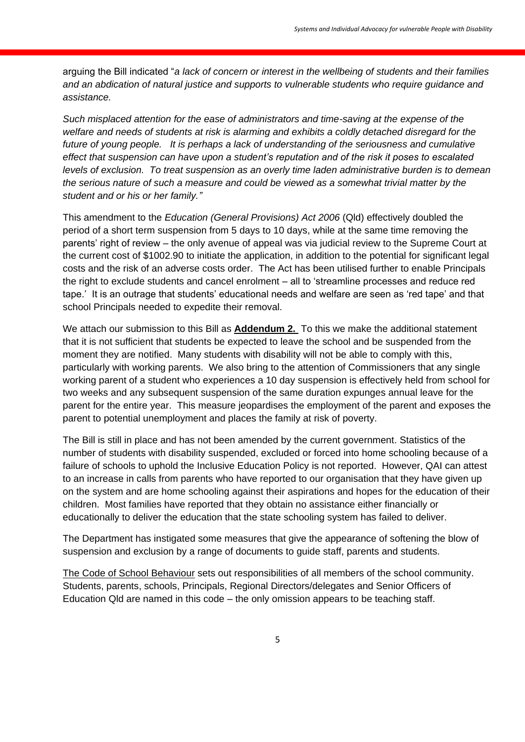arguing the Bill indicated "*a lack of concern or interest in the wellbeing of students and their families and an abdication of natural justice and supports to vulnerable students who require guidance and assistance.*

*Such misplaced attention for the ease of administrators and time-saving at the expense of the welfare and needs of students at risk is alarming and exhibits a coldly detached disregard for the future of young people. It is perhaps a lack of understanding of the seriousness and cumulative effect that suspension can have upon a student's reputation and of the risk it poses to escalated levels of exclusion. To treat suspension as an overly time laden administrative burden is to demean the serious nature of such a measure and could be viewed as a somewhat trivial matter by the student and or his or her family."*

This amendment to the *Education (General Provisions) Act 2006* (Qld) effectively doubled the period of a short term suspension from 5 days to 10 days, while at the same time removing the parents' right of review – the only avenue of appeal was via judicial review to the Supreme Court at the current cost of \$1002.90 to initiate the application, in addition to the potential for significant legal costs and the risk of an adverse costs order. The Act has been utilised further to enable Principals the right to exclude students and cancel enrolment – all to 'streamline processes and reduce red tape.' It is an outrage that students' educational needs and welfare are seen as 'red tape' and that school Principals needed to expedite their removal.

We attach our submission to this Bill as **Addendum 2.** To this we make the additional statement that it is not sufficient that students be expected to leave the school and be suspended from the moment they are notified. Many students with disability will not be able to comply with this, particularly with working parents. We also bring to the attention of Commissioners that any single working parent of a student who experiences a 10 day suspension is effectively held from school for two weeks and any subsequent suspension of the same duration expunges annual leave for the parent for the entire year. This measure jeopardises the employment of the parent and exposes the parent to potential unemployment and places the family at risk of poverty.

The Bill is still in place and has not been amended by the current government. Statistics of the number of students with disability suspended, excluded or forced into home schooling because of a failure of schools to uphold the Inclusive Education Policy is not reported. However, QAI can attest to an increase in calls from parents who have reported to our organisation that they have given up on the system and are home schooling against their aspirations and hopes for the education of their children. Most families have reported that they obtain no assistance either financially or educationally to deliver the education that the state schooling system has failed to deliver.

The Department has instigated some measures that give the appearance of softening the blow of suspension and exclusion by a range of documents to guide staff, parents and students.

The Code of School Behaviour sets out responsibilities of all members of the school community. Students, parents, schools, Principals, Regional Directors/delegates and Senior Officers of Education Qld are named in this code – the only omission appears to be teaching staff.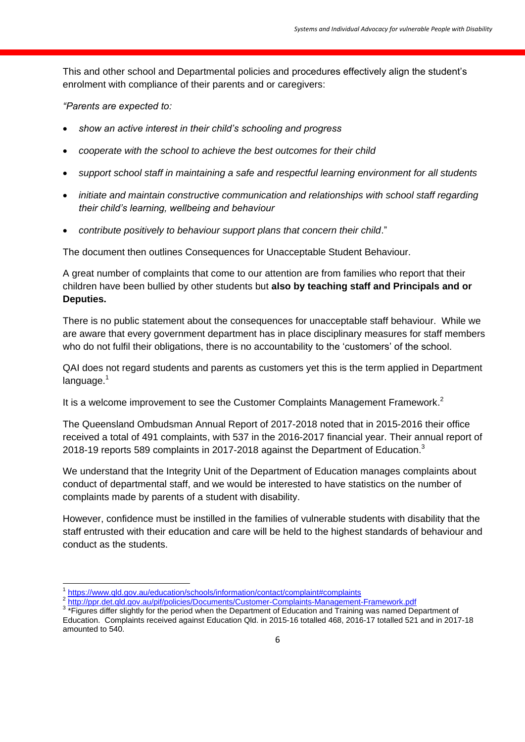This and other school and Departmental policies and procedures effectively align the student's enrolment with compliance of their parents and or caregivers:

*"Parents are expected to:*

- *show an active interest in their child's schooling and progress*
- *cooperate with the school to achieve the best outcomes for their child*
- *support school staff in maintaining a safe and respectful learning environment for all students*
- *initiate and maintain constructive communication and relationships with school staff regarding their child's learning, wellbeing and behaviour*
- *contribute positively to behaviour support plans that concern their child*."

The document then outlines Consequences for Unacceptable Student Behaviour.

A great number of complaints that come to our attention are from families who report that their children have been bullied by other students but **also by teaching staff and Principals and or Deputies.** 

There is no public statement about the consequences for unacceptable staff behaviour. While we are aware that every government department has in place disciplinary measures for staff members who do not fulfil their obligations, there is no accountability to the 'customers' of the school.

QAI does not regard students and parents as customers yet this is the term applied in Department language.<sup>1</sup>

It is a welcome improvement to see the Customer Complaints Management Framework.<sup>2</sup>

The Queensland Ombudsman Annual Report of 2017-2018 noted that in 2015-2016 their office received a total of 491 complaints, with 537 in the 2016-2017 financial year. Their annual report of 2018-19 reports 589 complaints in 2017-2018 against the Department of Education. $3$ 

We understand that the Integrity Unit of the Department of Education manages complaints about conduct of departmental staff, and we would be interested to have statistics on the number of complaints made by parents of a student with disability.

However, confidence must be instilled in the families of vulnerable students with disability that the staff entrusted with their education and care will be held to the highest standards of behaviour and conduct as the students.

 $\overline{\phantom{a}}$ 1 <https://www.qld.gov.au/education/schools/information/contact/complaint#complaints>

<sup>&</sup>lt;sup>2</sup> <http://ppr.det.qld.gov.au/pif/policies/Documents/Customer-Complaints-Management-Framework.pdf>

<sup>&</sup>lt;sup>3</sup> \*Figures differ slightly for the period when the Department of Education and Training was named Department of Education. Complaints received against Education Qld. in 2015-16 totalled 468, 2016-17 totalled 521 and in 2017-18 amounted to 540.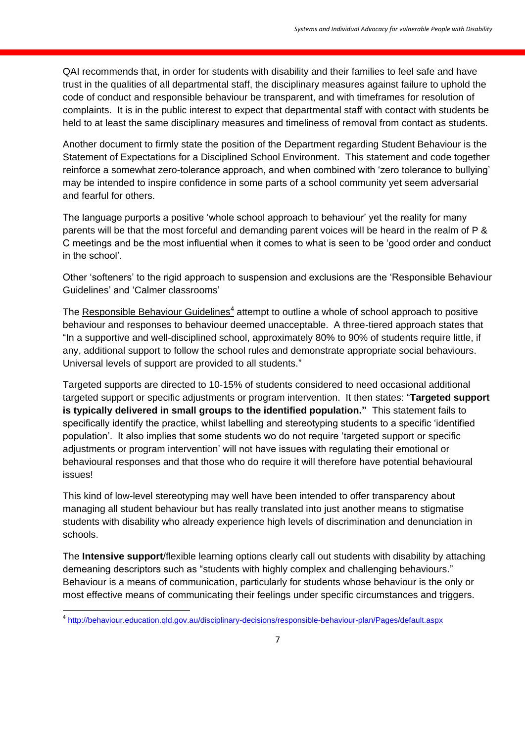QAI recommends that, in order for students with disability and their families to feel safe and have trust in the qualities of all departmental staff, the disciplinary measures against failure to uphold the code of conduct and responsible behaviour be transparent, and with timeframes for resolution of complaints. It is in the public interest to expect that departmental staff with contact with students be held to at least the same disciplinary measures and timeliness of removal from contact as students.

Another document to firmly state the position of the Department regarding Student Behaviour is the Statement of Expectations for a Disciplined School Environment. This statement and code together reinforce a somewhat zero-tolerance approach, and when combined with 'zero tolerance to bullying' may be intended to inspire confidence in some parts of a school community yet seem adversarial and fearful for others.

The language purports a positive 'whole school approach to behaviour' yet the reality for many parents will be that the most forceful and demanding parent voices will be heard in the realm of P & C meetings and be the most influential when it comes to what is seen to be 'good order and conduct in the school'.

Other 'softeners' to the rigid approach to suspension and exclusions are the 'Responsible Behaviour Guidelines' and 'Calmer classrooms'

The Responsible Behaviour Guidelines<sup>4</sup> attempt to outline a whole of school approach to positive behaviour and responses to behaviour deemed unacceptable. A three-tiered approach states that "In a supportive and well-disciplined school, approximately 80% to 90% of students require little, if any, additional support to follow the school rules and demonstrate appropriate social behaviours. Universal levels of support are provided to all students."

Targeted supports are directed to 10-15% of students considered to need occasional additional targeted support or specific adjustments or program intervention. It then states: "**Targeted support is typically delivered in small groups to the identified population."** This statement fails to specifically identify the practice, whilst labelling and stereotyping students to a specific 'identified population'. It also implies that some students wo do not require 'targeted support or specific adjustments or program intervention' will not have issues with regulating their emotional or behavioural responses and that those who do require it will therefore have potential behavioural issues!

This kind of low-level stereotyping may well have been intended to offer transparency about managing all student behaviour but has really translated into just another means to stigmatise students with disability who already experience high levels of discrimination and denunciation in schools.

The **Intensive support**/flexible learning options clearly call out students with disability by attaching demeaning descriptors such as "students with highly complex and challenging behaviours." Behaviour is a means of communication, particularly for students whose behaviour is the only or most effective means of communicating their feelings under specific circumstances and triggers.

 4 <http://behaviour.education.qld.gov.au/disciplinary-decisions/responsible-behaviour-plan/Pages/default.aspx>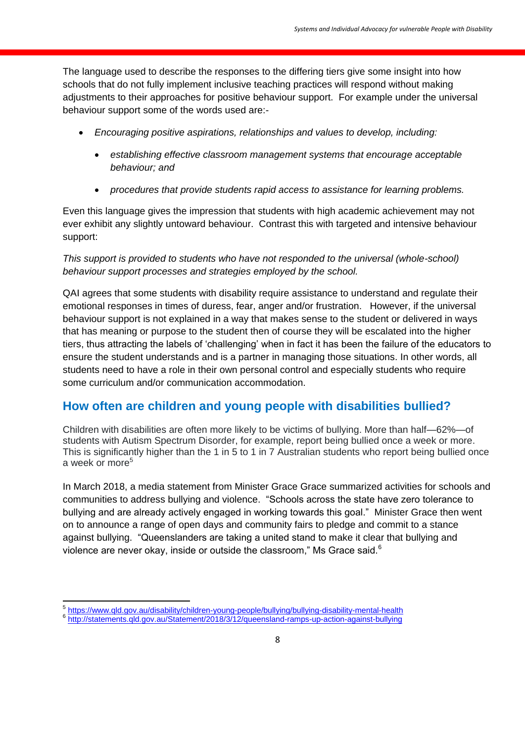The language used to describe the responses to the differing tiers give some insight into how schools that do not fully implement inclusive teaching practices will respond without making adjustments to their approaches for positive behaviour support. For example under the universal behaviour support some of the words used are:-

- *Encouraging positive aspirations, relationships and values to develop, including:*
	- *establishing effective classroom management systems that encourage acceptable behaviour; and*
	- *procedures that provide students rapid access to assistance for learning problems.*

Even this language gives the impression that students with high academic achievement may not ever exhibit any slightly untoward behaviour. Contrast this with targeted and intensive behaviour support:

*This support is provided to students who have not responded to the universal (whole-school) behaviour support processes and strategies employed by the school.*

QAI agrees that some students with disability require assistance to understand and regulate their emotional responses in times of duress, fear, anger and/or frustration. However, if the universal behaviour support is not explained in a way that makes sense to the student or delivered in ways that has meaning or purpose to the student then of course they will be escalated into the higher tiers, thus attracting the labels of 'challenging' when in fact it has been the failure of the educators to ensure the student understands and is a partner in managing those situations. In other words, all students need to have a role in their own personal control and especially students who require some curriculum and/or communication accommodation.

## **How often are children and young people with disabilities bullied?**

Children with disabilities are often more likely to be victims of bullying. More than half—62%—of students with Autism Spectrum Disorder, for example, report being bullied once a week or more. This is significantly higher than the 1 in 5 to 1 in 7 Australian students who report being bullied once a week or more $5$ 

In March 2018, a media statement from Minister Grace Grace summarized activities for schools and communities to address bullying and violence. "Schools across the state have zero tolerance to bullying and are already actively engaged in working towards this goal." Minister Grace then went on to announce a range of open days and community fairs to pledge and commit to a stance against bullying. "Queenslanders are taking a united stand to make it clear that bullying and violence are never okay, inside or outside the classroom," Ms Grace said. $6$ 

\_<br><sup>5</sup> <https://www.qld.gov.au/disability/children-young-people/bullying/bullying-disability-mental-health>

<sup>6</sup> <http://statements.qld.gov.au/Statement/2018/3/12/queensland-ramps-up-action-against-bullying>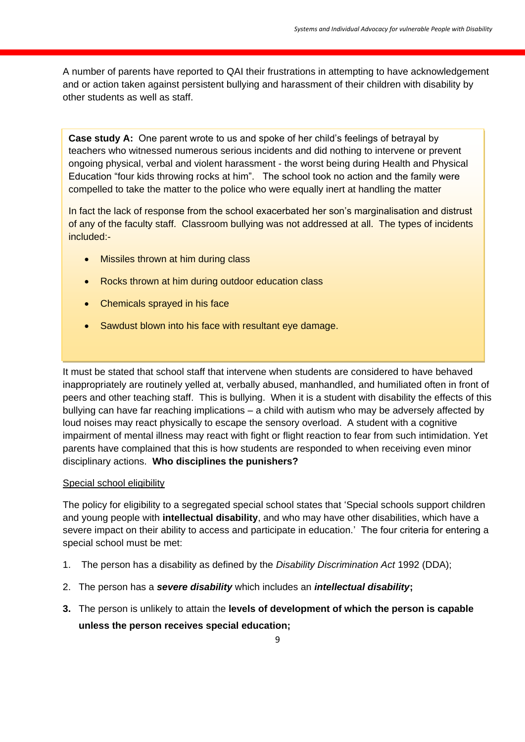A number of parents have reported to QAI their frustrations in attempting to have acknowledgement and or action taken against persistent bullying and harassment of their children with disability by other students as well as staff.

**Case study A:** One parent wrote to us and spoke of her child's feelings of betrayal by teachers who witnessed numerous serious incidents and did nothing to intervene or prevent ongoing physical, verbal and violent harassment - the worst being during Health and Physical Education "four kids throwing rocks at him". The school took no action and the family were compelled to take the matter to the police who were equally inert at handling the matter

In fact the lack of response from the school exacerbated her son's marginalisation and distrust of any of the faculty staff. Classroom bullying was not addressed at all. The types of incidents included:-

- Missiles thrown at him during class
- Rocks thrown at him during outdoor education class
- Chemicals sprayed in his face
- Sawdust blown into his face with resultant eye damage.

It must be stated that school staff that intervene when students are considered to have behaved inappropriately are routinely yelled at, verbally abused, manhandled, and humiliated often in front of peers and other teaching staff. This is bullying. When it is a student with disability the effects of this bullying can have far reaching implications – a child with autism who may be adversely affected by loud noises may react physically to escape the sensory overload. A student with a cognitive impairment of mental illness may react with fight or flight reaction to fear from such intimidation. Yet parents have complained that this is how students are responded to when receiving even minor disciplinary actions. **Who disciplines the punishers?**

#### Special school eligibility

The policy for eligibility to a segregated special school states that 'Special schools support children and young people with **intellectual disability**, and who may have other disabilities, which have a severe impact on their ability to access and participate in education.' The four criteria for entering a special school must be met:

- 1. The person has a disability as defined by the *Disability Discrimination Act* 1992 (DDA);
- 2. The person has a *severe disability* which includes an *intellectual disability***;**
- **3.** The person is unlikely to attain the **levels of development of which the person is capable unless the person receives special education;**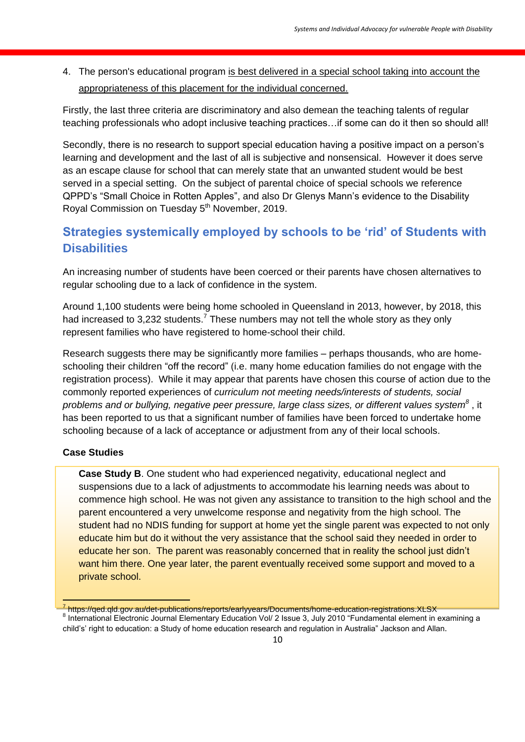4. The person's educational program is best delivered in a special school taking into account the appropriateness of this placement for the individual concerned.

Firstly, the last three criteria are discriminatory and also demean the teaching talents of regular teaching professionals who adopt inclusive teaching practices…if some can do it then so should all!

Secondly, there is no research to support special education having a positive impact on a person's learning and development and the last of all is subjective and nonsensical. However it does serve as an escape clause for school that can merely state that an unwanted student would be best served in a special setting. On the subject of parental choice of special schools we reference QPPD's "Small Choice in Rotten Apples", and also Dr Glenys Mann's evidence to the Disability Royal Commission on Tuesday 5<sup>th</sup> November, 2019.

# **Strategies systemically employed by schools to be 'rid' of Students with Disabilities**

An increasing number of students have been coerced or their parents have chosen alternatives to regular schooling due to a lack of confidence in the system.

Around 1,100 students were being home schooled in Queensland in 2013, however, by 2018, this had increased to 3,232 students.<sup>7</sup> These numbers may not tell the whole story as they only represent families who have registered to home-school their child.

Research suggests there may be significantly more families – perhaps thousands, who are homeschooling their children "off the record" (i.e. many home education families do not engage with the registration process). While it may appear that parents have chosen this course of action due to the commonly reported experiences of *curriculum not meeting needs/interests of students, social problems and or bullying, negative peer pressure, large class sizes, or different values system<sup>8</sup>* , it has been reported to us that a significant number of families have been forced to undertake home schooling because of a lack of acceptance or adjustment from any of their local schools.

#### **Case Studies**

**Case Study B**. One student who had experienced negativity, educational neglect and suspensions due to a lack of adjustments to accommodate his learning needs was about to commence high school. He was not given any assistance to transition to the high school and the parent encountered a very unwelcome response and negativity from the high school. The student had no NDIS funding for support at home yet the single parent was expected to not only educate him but do it without the very assistance that the school said they needed in order to educate her son. The parent was reasonably concerned that in reality the school just didn't want him there. One year later, the parent eventually received some support and moved to a private school.

<sup>&</sup>lt;u>.</u> <sup>7</sup> https://qed.qld.gov.au/det-publications/reports/earlyyears/Documents/home-education-registrations.XLSX <sup>8</sup> International Electronic Journal Elementary Education Vol/ 2 Issue 3, July 2010 "Fundamental element in examining a child's' right to education: a Study of home education research and regulation in Australia" Jackson and Allan.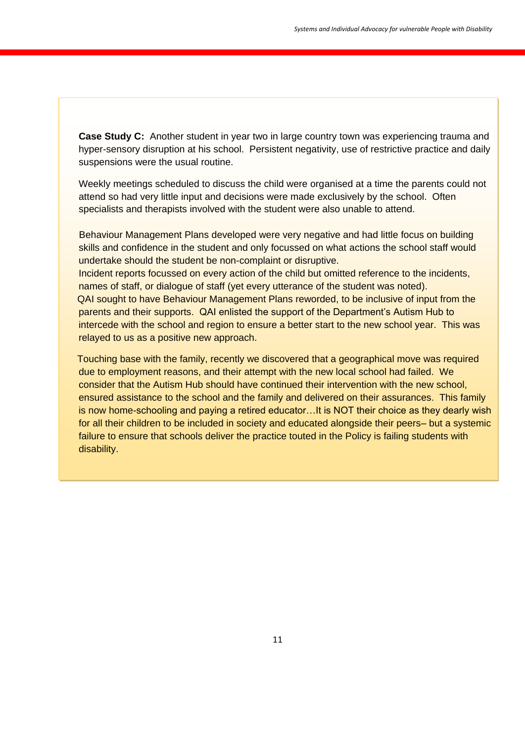**Case Study C:** Another student in year two in large country town was experiencing trauma and hyper-sensory disruption at his school. Persistent negativity, use of restrictive practice and daily suspensions were the usual routine.

Weekly meetings scheduled to discuss the child were organised at a time the parents could not attend so had very little input and decisions were made exclusively by the school. Often specialists and therapists involved with the student were also unable to attend.

 Behaviour Management Plans developed were very negative and had little focus on building skills and confidence in the student and only focussed on what actions the school staff would undertake should the student be non-complaint or disruptive. Incident reports focussed on every action of the child but omitted reference to the incidents, names of staff, or dialogue of staff (yet every utterance of the student was noted). QAI sought to have Behaviour Management Plans reworded, to be inclusive of input from the parents and their supports. QAI enlisted the support of the Department's Autism Hub to intercede with the school and region to ensure a better start to the new school year. This was relayed to us as a positive new approach.

Touching base with the family, recently we discovered that a geographical move was required due to employment reasons, and their attempt with the new local school had failed. We consider that the Autism Hub should have continued their intervention with the new school, ensured assistance to the school and the family and delivered on their assurances. This family is now home-schooling and paying a retired educator…It is NOT their choice as they dearly wish for all their children to be included in society and educated alongside their peers– but a systemic failure to ensure that schools deliver the practice touted in the Policy is failing students with disability.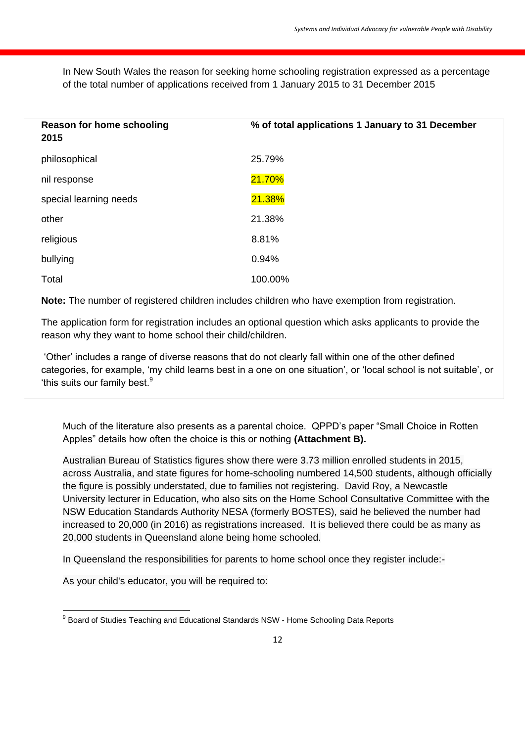In New South Wales the reason for seeking home schooling registration expressed as a percentage of the total number of applications received from 1 January 2015 to 31 December 2015

| <b>Reason for home schooling</b> | % of total applications 1 January to 31 December |
|----------------------------------|--------------------------------------------------|
| 2015                             |                                                  |
|                                  |                                                  |
| philosophical                    | 25.79%                                           |
| nil response                     | 21.70%                                           |
|                                  |                                                  |
| special learning needs           | 21.38%                                           |
| other                            | 21.38%                                           |
|                                  |                                                  |
| religious                        | 8.81%                                            |
| bullying                         | 0.94%                                            |
|                                  |                                                  |
| Total                            | 100.00%                                          |
|                                  |                                                  |

**Note:** The number of registered children includes children who have exemption from registration.

The application form for registration includes an optional question which asks applicants to provide the reason why they want to home school their child/children.

'Other' includes a range of diverse reasons that do not clearly fall within one of the other defined categories, for example, 'my child learns best in a one on one situation', or 'local school is not suitable', or 'this suits our family best.<sup>9</sup>

Much of the literature also presents as a parental choice. QPPD's paper "Small Choice in Rotten Apples" details how often the choice is this or nothing **(Attachment B).**

Australian Bureau of Statistics figures show there were 3.73 million enrolled students in 2015, across Australia, and state figures for home-schooling numbered 14,500 students, although officially the figure is possibly understated, due to families not registering. David Roy, a Newcastle University lecturer in Education, who also sits on the Home School Consultative Committee with the NSW Education Standards Authority NESA (formerly BOSTES), said he believed the number had increased to 20,000 (in 2016) as registrations increased. It is believed there could be as many as 20,000 students in Queensland alone being home schooled.

In Queensland the responsibilities for parents to home school once they register include:-

As your child's educator, you will be required to:

 $\overline{\phantom{a}}$ <sup>9</sup> Board of Studies Teaching and Educational Standards NSW - Home Schooling Data Reports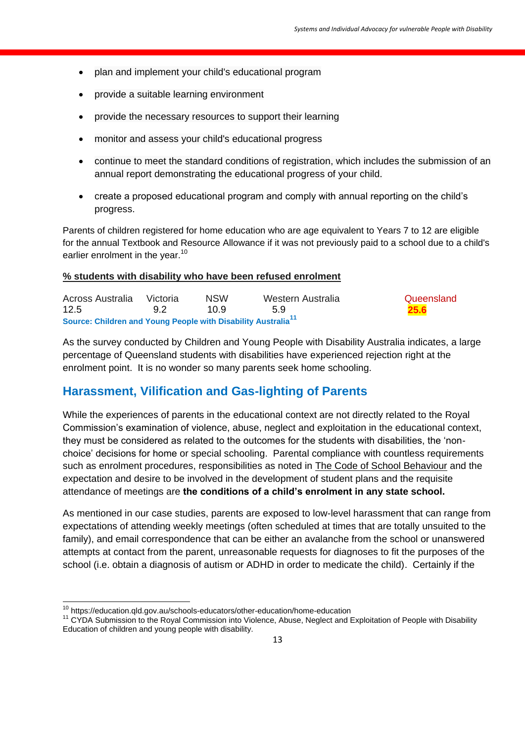- plan and implement your child's educational program
- provide a suitable learning environment
- provide the necessary resources to support their learning
- monitor and assess your child's educational progress
- continue to meet the standard conditions of registration, which includes the submission of an annual report demonstrating the educational progress of your child.
- create a proposed educational program and comply with annual reporting on the child's progress.

Parents of children registered for home education who are age equivalent to Years 7 to 12 are eligible for the annual Textbook and Resource Allowance if it was not previously paid to a school due to a child's earlier enrolment in the year.<sup>10</sup>

#### **% students with disability who have been refused enrolment**

| Across Australia                                                          | Victoria | <b>NSW</b> | Western Australia | Queensland |  |  |  |
|---------------------------------------------------------------------------|----------|------------|-------------------|------------|--|--|--|
| 12.5                                                                      | 92.      | 10.9       | 5.9               | 25.6       |  |  |  |
| Source: Children and Young People with Disability Australia <sup>11</sup> |          |            |                   |            |  |  |  |

As the survey conducted by Children and Young People with Disability Australia indicates, a large percentage of Queensland students with disabilities have experienced rejection right at the enrolment point. It is no wonder so many parents seek home schooling.

### **Harassment, Vilification and Gas-lighting of Parents**

While the experiences of parents in the educational context are not directly related to the Royal Commission's examination of violence, abuse, neglect and exploitation in the educational context, they must be considered as related to the outcomes for the students with disabilities, the 'nonchoice' decisions for home or special schooling. Parental compliance with countless requirements such as enrolment procedures, responsibilities as noted in The Code of School Behaviour and the expectation and desire to be involved in the development of student plans and the requisite attendance of meetings are **the conditions of a child's enrolment in any state school.**

As mentioned in our case studies, parents are exposed to low-level harassment that can range from expectations of attending weekly meetings (often scheduled at times that are totally unsuited to the family), and email correspondence that can be either an avalanche from the school or unanswered attempts at contact from the parent, unreasonable requests for diagnoses to fit the purposes of the school (i.e. obtain a diagnosis of autism or ADHD in order to medicate the child). Certainly if the

**.** 

<sup>&</sup>lt;sup>10</sup> https://education.qld.gov.au/schools-educators/other-education/home-education

<sup>&</sup>lt;sup>11</sup> CYDA Submission to the Royal Commission into Violence, Abuse, Neglect and Exploitation of People with Disability Education of children and young people with disability.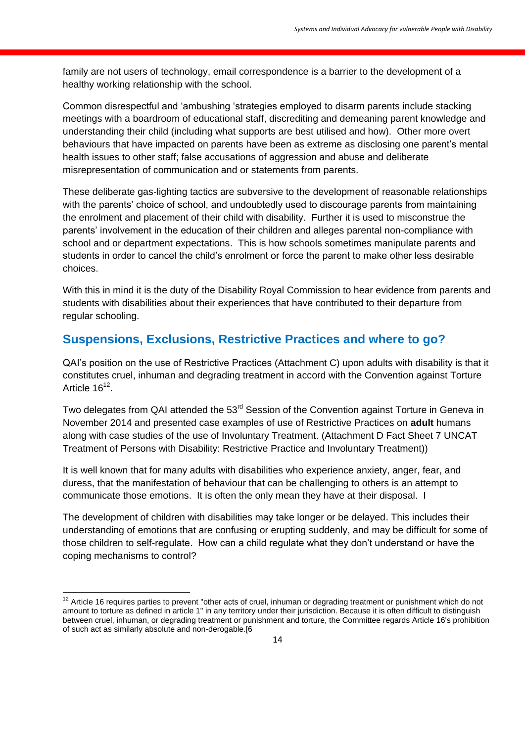family are not users of technology, email correspondence is a barrier to the development of a healthy working relationship with the school.

Common disrespectful and 'ambushing 'strategies employed to disarm parents include stacking meetings with a boardroom of educational staff, discrediting and demeaning parent knowledge and understanding their child (including what supports are best utilised and how). Other more overt behaviours that have impacted on parents have been as extreme as disclosing one parent's mental health issues to other staff; false accusations of aggression and abuse and deliberate misrepresentation of communication and or statements from parents.

These deliberate gas-lighting tactics are subversive to the development of reasonable relationships with the parents' choice of school, and undoubtedly used to discourage parents from maintaining the enrolment and placement of their child with disability. Further it is used to misconstrue the parents' involvement in the education of their children and alleges parental non-compliance with school and or department expectations. This is how schools sometimes manipulate parents and students in order to cancel the child's enrolment or force the parent to make other less desirable choices.

With this in mind it is the duty of the Disability Royal Commission to hear evidence from parents and students with disabilities about their experiences that have contributed to their departure from regular schooling.

## **Suspensions, Exclusions, Restrictive Practices and where to go?**

QAI's position on the use of Restrictive Practices (Attachment C) upon adults with disability is that it constitutes cruel, inhuman and degrading treatment in accord with the Convention against Torture Article  $16^{12}$ .

Two delegates from QAI attended the 53<sup>rd</sup> Session of the Convention against Torture in Geneva in November 2014 and presented case examples of use of Restrictive Practices on **adult** humans along with case studies of the use of Involuntary Treatment. (Attachment D Fact Sheet 7 UNCAT Treatment of Persons with Disability: Restrictive Practice and Involuntary Treatment))

It is well known that for many adults with disabilities who experience anxiety, anger, fear, and duress, that the manifestation of behaviour that can be challenging to others is an attempt to communicate those emotions. It is often the only mean they have at their disposal. I

The development of children with disabilities may take longer or be delayed. This includes their understanding of emotions that are confusing or erupting suddenly, and may be difficult for some of those children to self-regulate. How can a child regulate what they don't understand or have the coping mechanisms to control?

 $\overline{a}$ 

 $12$  Article 16 requires parties to prevent "other acts of cruel, inhuman or degrading treatment or punishment which do not amount to torture as defined in article 1" in any territory under their jurisdiction. Because it is often difficult to distinguish between cruel, inhuman, or degrading treatment or punishment and torture, the Committee regards Article 16's prohibition of such act as similarly absolute and non-derogable.[6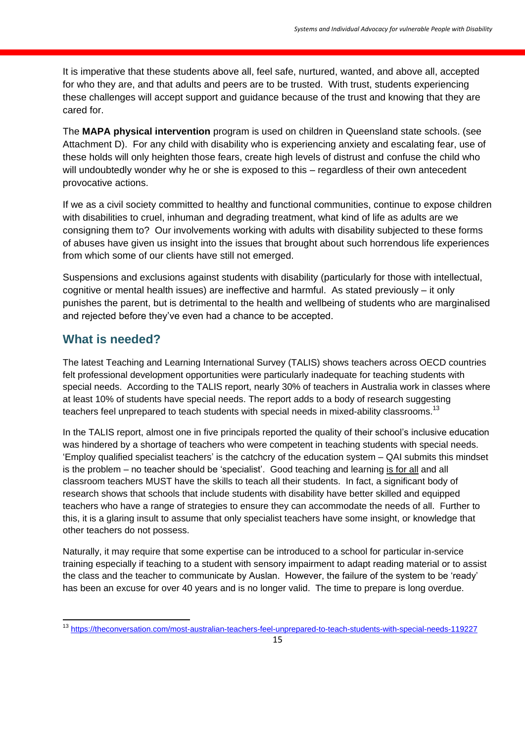It is imperative that these students above all, feel safe, nurtured, wanted, and above all, accepted for who they are, and that adults and peers are to be trusted. With trust, students experiencing these challenges will accept support and guidance because of the trust and knowing that they are cared for.

The **MAPA physical intervention** program is used on children in Queensland state schools. (see Attachment D). For any child with disability who is experiencing anxiety and escalating fear, use of these holds will only heighten those fears, create high levels of distrust and confuse the child who will undoubtedly wonder why he or she is exposed to this – regardless of their own antecedent provocative actions.

If we as a civil society committed to healthy and functional communities, continue to expose children with disabilities to cruel, inhuman and degrading treatment, what kind of life as adults are we consigning them to? Our involvements working with adults with disability subjected to these forms of abuses have given us insight into the issues that brought about such horrendous life experiences from which some of our clients have still not emerged.

Suspensions and exclusions against students with disability (particularly for those with intellectual, cognitive or mental health issues) are ineffective and harmful. As stated previously – it only punishes the parent, but is detrimental to the health and wellbeing of students who are marginalised and rejected before they've even had a chance to be accepted.

## **What is needed?**

The latest [Teaching and Learning International Survey \(TALIS\)](http://www.oecd.org/education/talis/) shows teachers across OECD countries felt professional development opportunities were particularly inadequate for teaching students with special needs. According to the TALIS report, nearly 30% of teachers in Australia work in classes where at least 10% of students have special needs. The report adds to a body of research suggesting teachers [feel unprepared to teach students with special needs](https://www.aracy.org.au/publications-resources/command/download_file/id/246/filename/Inclusive_education_for_students_with_disability_-_A_review_of_the_best_evidence_in_relation_to_theory_and_practice.pdf) in mixed-ability classrooms.<sup>13</sup>

In the TALIS report, almost one in five principals reported the quality of their school's inclusive education was hindered by a shortage of teachers who were competent in teaching students with special needs. 'Employ qualified specialist teachers' is the catchcry of the education system – QAI submits this mindset is the problem – no teacher should be 'specialist'. Good teaching and learning is for all and all classroom teachers MUST have the skills to teach all their students. In fact, a significant body of research shows that schools that include students with disability have better skilled and equipped teachers who have a range of strategies to ensure they can accommodate the needs of all. Further to this, it is a glaring insult to assume that only specialist teachers have some insight, or knowledge that other teachers do not possess.

Naturally, it may require that some expertise can be introduced to a school for particular in-service training especially if teaching to a student with sensory impairment to adapt reading material or to assist the class and the teacher to communicate by Auslan. However, the failure of the system to be 'ready' has been an excuse for over 40 years and is no longer valid. The time to prepare is long overdue.

 $\overline{a}$ <sup>13</sup> <https://theconversation.com/most-australian-teachers-feel-unprepared-to-teach-students-with-special-needs-119227>